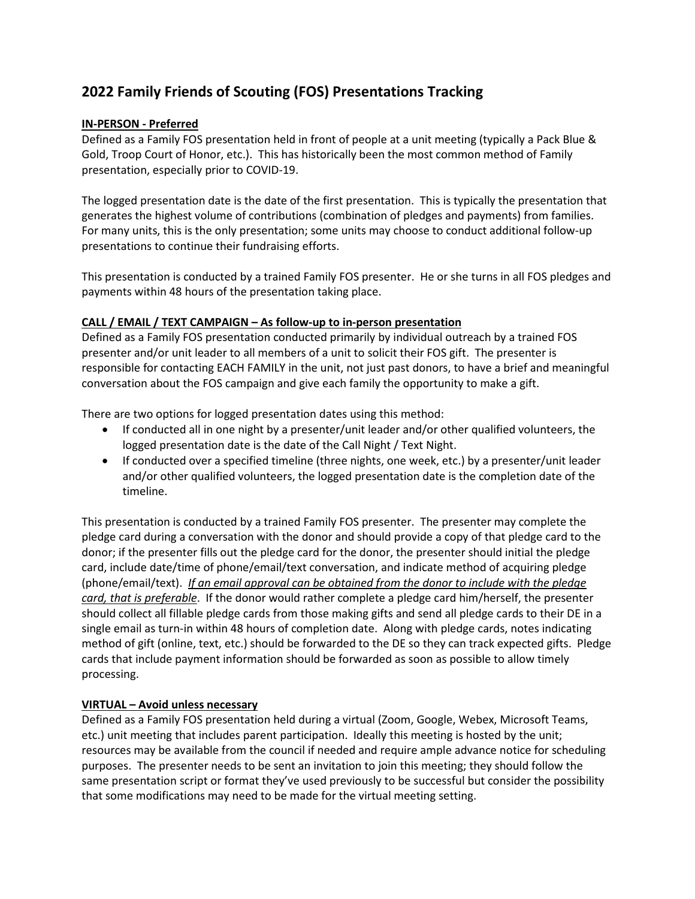## **2022 Family Friends of Scouting (FOS) Presentations Tracking**

## **IN-PERSON - Preferred**

Defined as a Family FOS presentation held in front of people at a unit meeting (typically a Pack Blue & Gold, Troop Court of Honor, etc.). This has historically been the most common method of Family presentation, especially prior to COVID-19.

The logged presentation date is the date of the first presentation. This is typically the presentation that generates the highest volume of contributions (combination of pledges and payments) from families. For many units, this is the only presentation; some units may choose to conduct additional follow-up presentations to continue their fundraising efforts.

This presentation is conducted by a trained Family FOS presenter. He or she turns in all FOS pledges and payments within 48 hours of the presentation taking place.

## **CALL / EMAIL / TEXT CAMPAIGN – As follow-up to in-person presentation**

Defined as a Family FOS presentation conducted primarily by individual outreach by a trained FOS presenter and/or unit leader to all members of a unit to solicit their FOS gift. The presenter is responsible for contacting EACH FAMILY in the unit, not just past donors, to have a brief and meaningful conversation about the FOS campaign and give each family the opportunity to make a gift.

There are two options for logged presentation dates using this method:

- If conducted all in one night by a presenter/unit leader and/or other qualified volunteers, the logged presentation date is the date of the Call Night / Text Night.
- If conducted over a specified timeline (three nights, one week, etc.) by a presenter/unit leader and/or other qualified volunteers, the logged presentation date is the completion date of the timeline.

This presentation is conducted by a trained Family FOS presenter. The presenter may complete the pledge card during a conversation with the donor and should provide a copy of that pledge card to the donor; if the presenter fills out the pledge card for the donor, the presenter should initial the pledge card, include date/time of phone/email/text conversation, and indicate method of acquiring pledge (phone/email/text). *If an email approval can be obtained from the donor to include with the pledge card, that is preferable*. If the donor would rather complete a pledge card him/herself, the presenter should collect all fillable pledge cards from those making gifts and send all pledge cards to their DE in a single email as turn-in within 48 hours of completion date. Along with pledge cards, notes indicating method of gift (online, text, etc.) should be forwarded to the DE so they can track expected gifts. Pledge cards that include payment information should be forwarded as soon as possible to allow timely processing.

## **VIRTUAL – Avoid unless necessary**

Defined as a Family FOS presentation held during a virtual (Zoom, Google, Webex, Microsoft Teams, etc.) unit meeting that includes parent participation. Ideally this meeting is hosted by the unit; resources may be available from the council if needed and require ample advance notice for scheduling purposes. The presenter needs to be sent an invitation to join this meeting; they should follow the same presentation script or format they've used previously to be successful but consider the possibility that some modifications may need to be made for the virtual meeting setting.